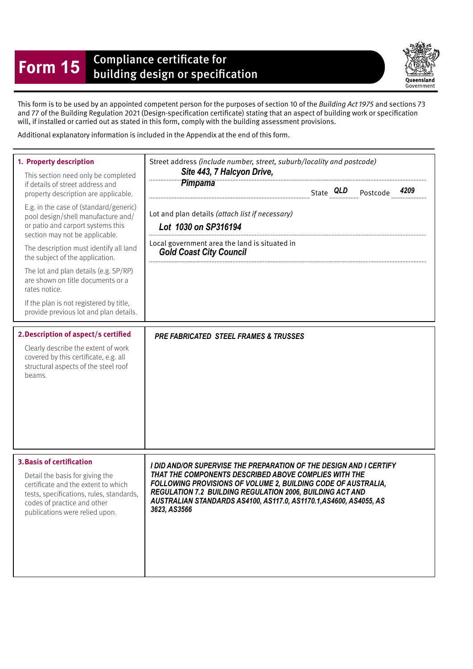## **Form 15** Compliance certificate for<br>building design or specification

Queensland Government

This form is to be used by an appointed competent person for the purposes of section 10 of the Building Act 1975 and sections 73 and 77 of the Building Regulation 2021 (Design-specifcation certifcate) stating that an aspect of building work or specifcation will, if installed or carried out as stated in this form, comply with the building assessment provisions.

Additional explanatory information is included in the Appendix at the end of this form.

| 1. Property description<br>This section need only be completed<br>if details of street address and<br>property description are applicable.<br>E.g. in the case of (standard/generic)<br>pool design/shell manufacture and/<br>or patio and carport systems this<br>section may not be applicable.<br>The description must identify all land<br>the subject of the application.<br>The lot and plan details (e.g. SP/RP)<br>are shown on title documents or a<br>rates notice.<br>If the plan is not registered by title,<br>provide previous lot and plan details.<br>2. Description of aspect/s certified<br>Clearly describe the extent of work<br>covered by this certificate, e.g. all<br>structural aspects of the steel roof | Street address (include number, street, suburb/locality and postcode)<br>Site 443, 7 Halcyon Drive,<br>Pimpama<br>Lot and plan details (attach list if necessary)<br>Lot 1030 on SP316194<br>Local government area the land is situated in<br><b>Gold Coast City Council</b><br><b>PRE FABRICATED STEEL FRAMES &amp; TRUSSES</b>                       |
|------------------------------------------------------------------------------------------------------------------------------------------------------------------------------------------------------------------------------------------------------------------------------------------------------------------------------------------------------------------------------------------------------------------------------------------------------------------------------------------------------------------------------------------------------------------------------------------------------------------------------------------------------------------------------------------------------------------------------------|--------------------------------------------------------------------------------------------------------------------------------------------------------------------------------------------------------------------------------------------------------------------------------------------------------------------------------------------------------|
| beams.<br><b>3. Basis of certification</b><br>Detail the basis for giving the<br>certificate and the extent to which<br>tests, specifications, rules, standards,<br>codes of practice and other<br>publications were relied upon.                                                                                                                                                                                                                                                                                                                                                                                                                                                                                                  | I DID AND/OR SUPERVISE THE PREPARATION OF THE DESIGN AND I CERTIFY<br>THAT THE COMPONENTS DESCRIBED ABOVE COMPLIES WITH THE<br>FOLLOWING PROVISIONS OF VOLUME 2, BUILDING CODE OF AUSTRALIA,<br><b>REGULATION 7.2 BUILDING REGULATION 2006, BUILDING ACT AND</b><br>AUSTRALIAN STANDARDS AS4100, AS117.0, AS1170.1, AS4600, AS4055, AS<br>3623, AS3566 |